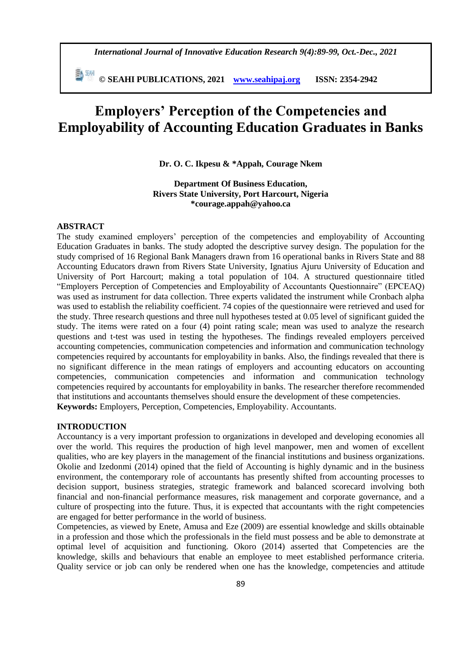*International Journal of Innovative Education Research 9(4):89-99, Oct.-Dec., 2021*

 **© SEAHI PUBLICATIONS, 2021 [www.seahipaj.org](http://www.seahipaj.org/) ISSN: 2354-2942**

# **Employers' Perception of the Competencies and Employability of Accounting Education Graduates in Banks**

**Dr. O. C. Ikpesu & \*Appah, Courage Nkem**

**Department Of Business Education, Rivers State University, Port Harcourt, Nigeria \*courage.appah@yahoo.ca**

#### **ABSTRACT**

The study examined employers' perception of the competencies and employability of Accounting Education Graduates in banks. The study adopted the descriptive survey design. The population for the study comprised of 16 Regional Bank Managers drawn from 16 operational banks in Rivers State and 88 Accounting Educators drawn from Rivers State University, Ignatius Ajuru University of Education and University of Port Harcourt; making a total population of 104. A structured questionnaire titled "Employers Perception of Competencies and Employability of Accountants Questionnaire" (EPCEAQ) was used as instrument for data collection. Three experts validated the instrument while Cronbach alpha was used to establish the reliability coefficient. 74 copies of the questionnaire were retrieved and used for the study. Three research questions and three null hypotheses tested at 0.05 level of significant guided the study. The items were rated on a four (4) point rating scale; mean was used to analyze the research questions and t-test was used in testing the hypotheses. The findings revealed employers perceived accounting competencies, communication competencies and information and communication technology competencies required by accountants for employability in banks. Also, the findings revealed that there is no significant difference in the mean ratings of employers and accounting educators on accounting competencies, communication competencies and information and communication technology competencies required by accountants for employability in banks. The researcher therefore recommended that institutions and accountants themselves should ensure the development of these competencies. **Keywords:** Employers, Perception, Competencies, Employability. Accountants.

#### **INTRODUCTION**

Accountancy is a very important profession to organizations in developed and developing economies all over the world. This requires the production of high level manpower, men and women of excellent qualities, who are key players in the management of the financial institutions and business organizations. Okolie and Izedonmi (2014) opined that the field of Accounting is highly dynamic and in the business environment, the contemporary role of accountants has presently shifted from accounting processes to decision support, business strategies, strategic framework and balanced scorecard involving both financial and non-financial performance measures, risk management and corporate governance, and a culture of prospecting into the future. Thus, it is expected that accountants with the right competencies are engaged for better performance in the world of business.

Competencies, as viewed by Enete, Amusa and Eze (2009) are essential knowledge and skills obtainable in a profession and those which the professionals in the field must possess and be able to demonstrate at optimal level of acquisition and functioning. Okoro (2014) asserted that Competencies are the knowledge, skills and behaviours that enable an employee to meet established performance criteria. Quality service or job can only be rendered when one has the knowledge, competencies and attitude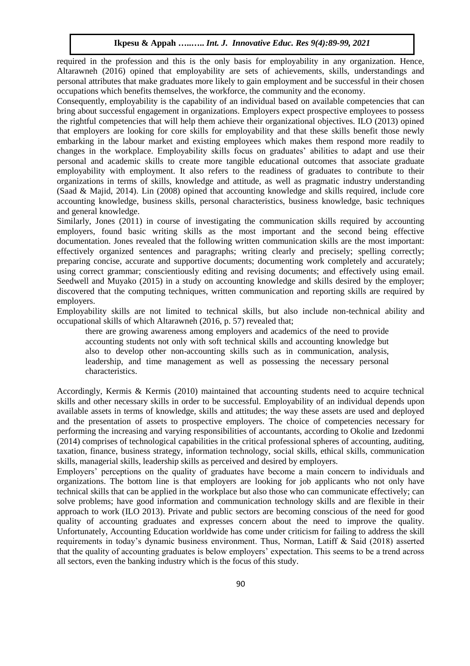required in the profession and this is the only basis for employability in any organization. Hence, Altarawneh (2016) opined that employability are sets of achievements, skills, understandings and personal attributes that make graduates more likely to gain employment and be successful in their chosen occupations which benefits themselves, the workforce, the community and the economy.

Consequently, employability is the capability of an individual based on available competencies that can bring about successful engagement in organizations. Employers expect prospective employees to possess the rightful competencies that will help them achieve their organizational objectives. ILO (2013) opined that employers are looking for core skills for employability and that these skills benefit those newly embarking in the labour market and existing employees which makes them respond more readily to changes in the workplace. Employability skills focus on graduates' abilities to adapt and use their personal and academic skills to create more tangible educational outcomes that associate graduate employability with employment. It also refers to the readiness of graduates to contribute to their organizations in terms of skills, knowledge and attitude, as well as pragmatic industry understanding (Saad & Majid, 2014). Lin (2008) opined that accounting knowledge and skills required, include core accounting knowledge, business skills, personal characteristics, business knowledge, basic techniques and general knowledge.

Similarly, Jones (2011) in course of investigating the communication skills required by accounting employers, found basic writing skills as the most important and the second being effective documentation. Jones revealed that the following written communication skills are the most important: effectively organized sentences and paragraphs; writing clearly and precisely; spelling correctly; preparing concise, accurate and supportive documents; documenting work completely and accurately; using correct grammar; conscientiously editing and revising documents; and effectively using email. Seedwell and Muyako (2015) in a study on accounting knowledge and skills desired by the employer; discovered that the computing techniques, written communication and reporting skills are required by employers.

Employability skills are not limited to technical skills, but also include non-technical ability and occupational skills of which Altarawneh (2016, p. 57) revealed that;

there are growing awareness among employers and academics of the need to provide accounting students not only with soft technical skills and accounting knowledge but also to develop other non-accounting skills such as in communication, analysis, leadership, and time management as well as possessing the necessary personal characteristics.

Accordingly, Kermis & Kermis (2010) maintained that accounting students need to acquire technical skills and other necessary skills in order to be successful. Employability of an individual depends upon available assets in terms of knowledge, skills and attitudes; the way these assets are used and deployed and the presentation of assets to prospective employers. The choice of competencies necessary for performing the increasing and varying responsibilities of accountants, according to Okolie and Izedonmi (2014) comprises of technological capabilities in the critical professional spheres of accounting, auditing, taxation, finance, business strategy, information technology, social skills, ethical skills, communication skills, managerial skills, leadership skills as perceived and desired by employers.

Employers' perceptions on the quality of graduates have become a main concern to individuals and organizations. The bottom line is that employers are looking for job applicants who not only have technical skills that can be applied in the workplace but also those who can communicate effectively; can solve problems; have good information and communication technology skills and are flexible in their approach to work (ILO 2013). Private and public sectors are becoming conscious of the need for good quality of accounting graduates and expresses concern about the need to improve the quality. Unfortunately, Accounting Education worldwide has come under criticism for failing to address the skill requirements in today's dynamic business environment. Thus, Norman, Latiff & Said (2018) asserted that the quality of accounting graduates is below employers' expectation. This seems to be a trend across all sectors, even the banking industry which is the focus of this study.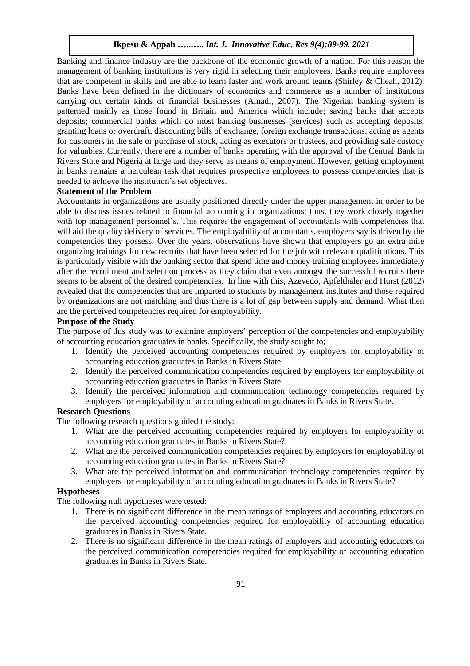Banking and finance industry are the backbone of the economic growth of a nation. For this reason the management of banking institutions is very rigid in selecting their employees. Banks require employees that are competent in skills and are able to learn faster and work around teams (Shirley & Cheah, 2012). Banks have been defined in the dictionary of economics and commerce as a number of institutions carrying out certain kinds of financial businesses (Amadi, 2007). The Nigerian banking system is patterned mainly as those found in Britain and America which include; saving banks that accepts deposits; commercial banks which do most banking businesses (services) such as accepting deposits, granting loans or overdraft, discounting bills of exchange, foreign exchange transactions, acting as agents for customers in the sale or purchase of stock, acting as executors or trustees, and providing safe custody for valuables. Currently, there are a number of banks operating with the approval of the Central Bank in Rivers State and Nigeria at large and they serve as means of employment. However, getting employment in banks remains a herculean task that requires prospective employees to possess competencies that is needed to achieve the institution's set objectives.

#### **Statement of the Problem**

Accountants in organizations are usually positioned directly under the upper management in order to be able to discuss issues related to financial accounting in organizations; thus, they work closely together with top management personnel's. This requires the engagement of accountants with competencies that will aid the quality delivery of services. The employability of accountants, employers say is driven by the competencies they possess. Over the years, observations have shown that employers go an extra mile organizing trainings for new recruits that have been selected for the job with relevant qualifications. This is particularly visible with the banking sector that spend time and money training employees immediately after the recruitment and selection process as they claim that even amongst the successful recruits there seems to be absent of the desired competencies. In line with this, Azevedo, Apfelthaler and Hurst (2012) revealed that the competencies that are imparted to students by management institutes and those required by organizations are not matching and thus there is a lot of gap between supply and demand. What then are the perceived competencies required for employability.

#### **Purpose of the Study**

The purpose of this study was to examine employers' perception of the competencies and employability of accounting education graduates in banks. Specifically, the study sought to;

- 1. Identify the perceived accounting competencies required by employers for employability of accounting education graduates in Banks in Rivers State.
- 2. Identify the perceived communication competencies required by employers for employability of accounting education graduates in Banks in Rivers State.
- 3. Identify the perceived information and communication technology competencies required by employers for employability of accounting education graduates in Banks in Rivers State.

# **Research Questions**

The following research questions guided the study:

- 1. What are the perceived accounting competencies required by employers for employability of accounting education graduates in Banks in Rivers State?
- 2. What are the perceived communication competencies required by employers for employability of accounting education graduates in Banks in Rivers State?
- 3. What are the perceived information and communication technology competencies required by employers for employability of accounting education graduates in Banks in Rivers State?

#### **Hypotheses**

The following null hypotheses were tested:

- 1. There is no significant difference in the mean ratings of employers and accounting educators on the perceived accounting competencies required for employability of accounting education graduates in Banks in Rivers State.
- 2. There is no significant difference in the mean ratings of employers and accounting educators on the perceived communication competencies required for employability of accounting education graduates in Banks in Rivers State.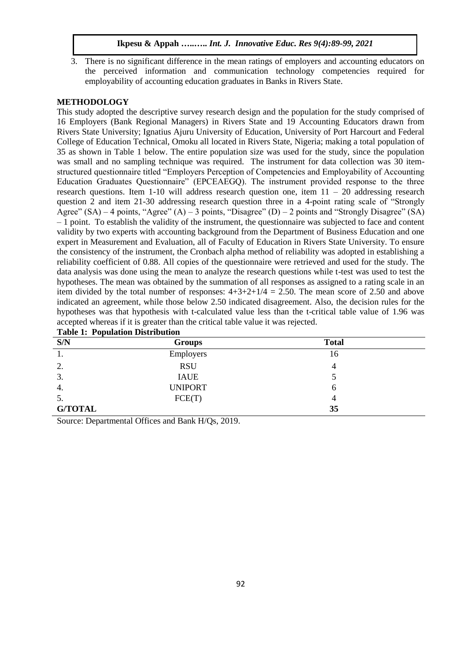3. There is no significant difference in the mean ratings of employers and accounting educators on the perceived information and communication technology competencies required for employability of accounting education graduates in Banks in Rivers State.

## **METHODOLOGY**

This study adopted the descriptive survey research design and the population for the study comprised of 16 Employers (Bank Regional Managers) in Rivers State and 19 Accounting Educators drawn from Rivers State University; Ignatius Ajuru University of Education, University of Port Harcourt and Federal College of Education Technical, Omoku all located in Rivers State, Nigeria; making a total population of 35 as shown in Table 1 below. The entire population size was used for the study, since the population was small and no sampling technique was required. The instrument for data collection was 30 itemstructured questionnaire titled "Employers Perception of Competencies and Employability of Accounting Education Graduates Questionnaire" (EPCEAEGQ). The instrument provided response to the three research questions. Item 1-10 will address research question one, item 11 – 20 addressing research question 2 and item 21-30 addressing research question three in a 4-point rating scale of "Strongly Agree" (SA) – 4 points, "Agree" (A) – 3 points, "Disagree" (D) – 2 points and "Strongly Disagree" (SA) – 1 point. To establish the validity of the instrument, the questionnaire was subjected to face and content validity by two experts with accounting background from the Department of Business Education and one expert in Measurement and Evaluation, all of Faculty of Education in Rivers State University. To ensure the consistency of the instrument, the Cronbach alpha method of reliability was adopted in establishing a reliability coefficient of 0.88. All copies of the questionnaire were retrieved and used for the study. The data analysis was done using the mean to analyze the research questions while t-test was used to test the hypotheses. The mean was obtained by the summation of all responses as assigned to a rating scale in an item divided by the total number of responses:  $4+3+2+1/4 = 2.50$ . The mean score of 2.50 and above indicated an agreement, while those below 2.50 indicated disagreement. Also, the decision rules for the hypotheses was that hypothesis with t-calculated value less than the t-critical table value of 1.96 was accepted whereas if it is greater than the critical table value it was rejected. **Table 1: Population Distribution**

| Lable 1. I optimum Distribution |                |              |  |  |  |  |  |  |
|---------------------------------|----------------|--------------|--|--|--|--|--|--|
| S/N                             | <b>Groups</b>  | <b>Total</b> |  |  |  |  |  |  |
| Ι.                              | Employers      | 16           |  |  |  |  |  |  |
| 2.                              | <b>RSU</b>     |              |  |  |  |  |  |  |
| 3.                              | <b>IAUE</b>    |              |  |  |  |  |  |  |
| 4.                              | <b>UNIPORT</b> | h            |  |  |  |  |  |  |
| 5.                              | FCE(T)         | 4            |  |  |  |  |  |  |
| <b>G/TOTAL</b>                  |                | 35           |  |  |  |  |  |  |

Source: Departmental Offices and Bank H/Qs, 2019.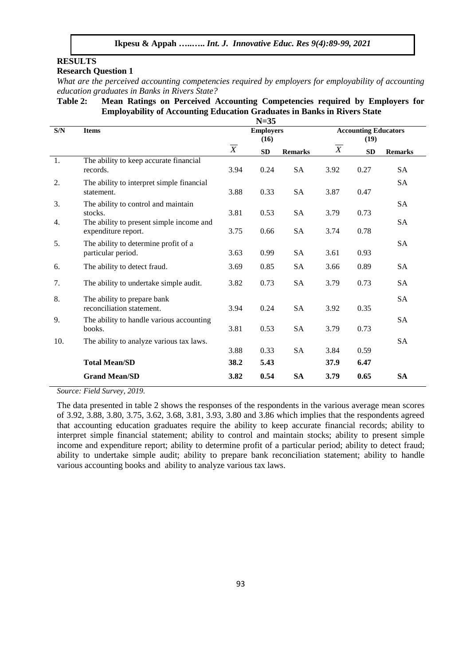# **RESULTS**

# **Research Question 1**

*What are the perceived accounting competencies required by employers for employability of accounting education graduates in Banks in Rivers State?*

#### **Table 2: Mean Ratings on Perceived Accounting Competencies required by Employers for Employability of Accounting Education Graduates in Banks in Rivers State N=35**

|                | $N=35$                                                          |                |                          |                |                                     |           |                |  |
|----------------|-----------------------------------------------------------------|----------------|--------------------------|----------------|-------------------------------------|-----------|----------------|--|
| $\mathbf{S/N}$ | <b>Items</b>                                                    |                | <b>Employers</b><br>(16) |                | <b>Accounting Educators</b><br>(19) |           |                |  |
|                |                                                                 | $\overline{X}$ | <b>SD</b>                | <b>Remarks</b> | $\boldsymbol{X}$                    | <b>SD</b> | <b>Remarks</b> |  |
| 1.             | The ability to keep accurate financial<br>records.              | 3.94           | 0.24                     | <b>SA</b>      | 3.92                                | 0.27      | <b>SA</b>      |  |
| 2.             | The ability to interpret simple financial<br>statement.         | 3.88           | 0.33                     | <b>SA</b>      | 3.87                                | 0.47      | <b>SA</b>      |  |
| 3.             | The ability to control and maintain<br>stocks.                  | 3.81           | 0.53                     | <b>SA</b>      | 3.79                                | 0.73      | SA             |  |
| 4.             | The ability to present simple income and<br>expenditure report. | 3.75           | 0.66                     | SA             | 3.74                                | 0.78      | SA             |  |
| 5.             | The ability to determine profit of a<br>particular period.      | 3.63           | 0.99                     | SA             | 3.61                                | 0.93      | <b>SA</b>      |  |
| 6.             | The ability to detect fraud.                                    | 3.69           | 0.85                     | <b>SA</b>      | 3.66                                | 0.89      | <b>SA</b>      |  |
| 7.             | The ability to undertake simple audit.                          | 3.82           | 0.73                     | <b>SA</b>      | 3.79                                | 0.73      | <b>SA</b>      |  |
| 8.             | The ability to prepare bank<br>reconciliation statement.        | 3.94           | 0.24                     | <b>SA</b>      | 3.92                                | 0.35      | SA             |  |
| 9.             | The ability to handle various accounting<br>books.              | 3.81           | 0.53                     | <b>SA</b>      | 3.79                                | 0.73      | <b>SA</b>      |  |
| 10.            | The ability to analyze various tax laws.                        | 3.88           | 0.33                     | <b>SA</b>      | 3.84                                | 0.59      | <b>SA</b>      |  |
|                | <b>Total Mean/SD</b>                                            | 38.2           | 5.43                     |                | 37.9                                | 6.47      |                |  |
|                | <b>Grand Mean/SD</b>                                            | 3.82           | 0.54                     | <b>SA</b>      | 3.79                                | 0.65      | <b>SA</b>      |  |

*Source: Field Survey, 2019.*

The data presented in table 2 shows the responses of the respondents in the various average mean scores of 3.92, 3.88, 3.80, 3.75, 3.62, 3.68, 3.81, 3.93, 3.80 and 3.86 which implies that the respondents agreed that accounting education graduates require the ability to keep accurate financial records; ability to interpret simple financial statement; ability to control and maintain stocks; ability to present simple income and expenditure report; ability to determine profit of a particular period; ability to detect fraud; ability to undertake simple audit; ability to prepare bank reconciliation statement; ability to handle various accounting books and ability to analyze various tax laws.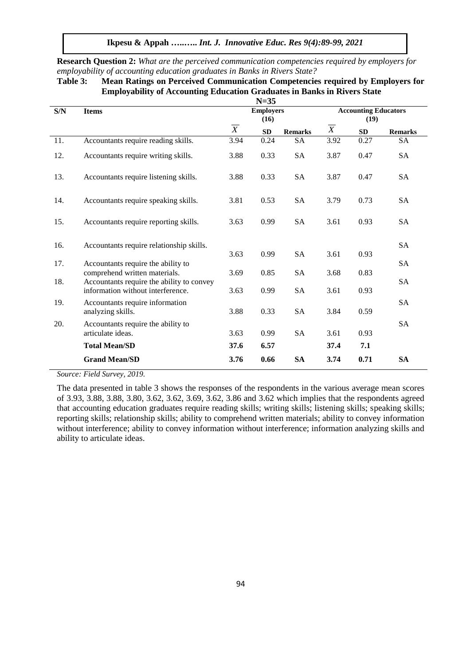**Ikpesu & Appah …..…..** *Int. J. Innovative Educ. Res 9(4):89-99, 2021*

| Employability of Accounting Education Graduates in Banks in Kivers State<br>$N=35$ |                                                                     |                           |                          |                |                                     |      |                |  |  |
|------------------------------------------------------------------------------------|---------------------------------------------------------------------|---------------------------|--------------------------|----------------|-------------------------------------|------|----------------|--|--|
| $\mathbf{S/N}$                                                                     | <b>Items</b>                                                        |                           | <b>Employers</b><br>(16) |                | <b>Accounting Educators</b><br>(19) |      |                |  |  |
|                                                                                    |                                                                     | $\overline{\overline{X}}$ | SD                       | <b>Remarks</b> | $\overline{X}$                      | SD   | <b>Remarks</b> |  |  |
| 11.                                                                                | Accountants require reading skills.                                 | 3.94                      | 0.24                     | <b>SA</b>      | 3.92                                | 0.27 | <b>SA</b>      |  |  |
| 12.                                                                                | Accountants require writing skills.                                 | 3.88                      | 0.33                     | <b>SA</b>      | 3.87                                | 0.47 | SA             |  |  |
| 13.                                                                                | Accountants require listening skills.                               | 3.88                      | 0.33                     | <b>SA</b>      | 3.87                                | 0.47 | <b>SA</b>      |  |  |
| 14.                                                                                | Accountants require speaking skills.                                | 3.81                      | 0.53                     | <b>SA</b>      | 3.79                                | 0.73 | <b>SA</b>      |  |  |
| 15.                                                                                | Accountants require reporting skills.                               | 3.63                      | 0.99                     | <b>SA</b>      | 3.61                                | 0.93 | <b>SA</b>      |  |  |
| 16.                                                                                | Accountants require relationship skills.                            |                           |                          |                |                                     |      | <b>SA</b>      |  |  |
|                                                                                    |                                                                     | 3.63                      | 0.99                     | <b>SA</b>      | 3.61                                | 0.93 |                |  |  |
| 17.                                                                                | Accountants require the ability to<br>comprehend written materials. | 3.69                      | 0.85                     | <b>SA</b>      | 3.68                                | 0.83 | <b>SA</b>      |  |  |
| 18.                                                                                | Accountants require the ability to convey                           |                           |                          |                |                                     |      | SA             |  |  |
|                                                                                    | information without interference.                                   | 3.63                      | 0.99                     | <b>SA</b>      | 3.61                                | 0.93 |                |  |  |
| 19.                                                                                | Accountants require information<br>analyzing skills.                | 3.88                      | 0.33                     | <b>SA</b>      | 3.84                                | 0.59 | <b>SA</b>      |  |  |
| 20.                                                                                | Accountants require the ability to                                  |                           |                          |                |                                     |      | <b>SA</b>      |  |  |
|                                                                                    | articulate ideas.                                                   | 3.63                      | 0.99                     | <b>SA</b>      | 3.61                                | 0.93 |                |  |  |
|                                                                                    | <b>Total Mean/SD</b>                                                | 37.6                      | 6.57                     |                | 37.4                                | 7.1  |                |  |  |
|                                                                                    | <b>Grand Mean/SD</b>                                                | 3.76                      | 0.66                     | <b>SA</b>      | 3.74                                | 0.71 | <b>SA</b>      |  |  |

**Research Question 2:** *What are the perceived communication competencies required by employers for employability of accounting education graduates in Banks in Rivers State?*

# **Table 3: Mean Ratings on Perceived Communication Competencies required by Employers for Employability of Accounting Education Graduates in Banks in Rivers State**

*Source: Field Survey, 2019.*

The data presented in table 3 shows the responses of the respondents in the various average mean scores of 3.93, 3.88, 3.88, 3.80, 3.62, 3.62, 3.69, 3.62, 3.86 and 3.62 which implies that the respondents agreed that accounting education graduates require reading skills; writing skills; listening skills; speaking skills; reporting skills; relationship skills; ability to comprehend written materials; ability to convey information without interference; ability to convey information without interference; information analyzing skills and ability to articulate ideas.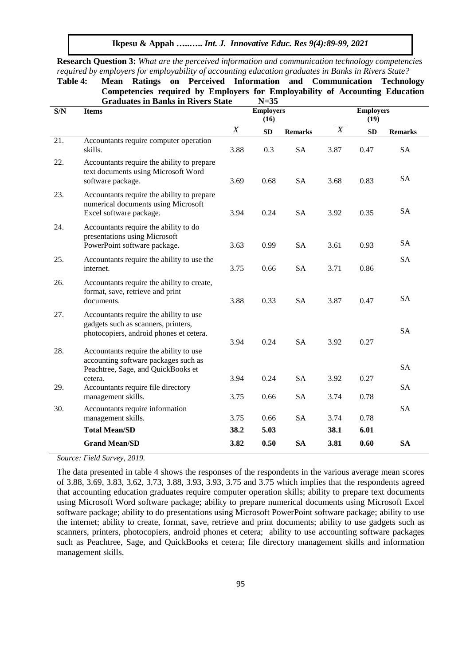|     | Competencies required by Employers for Employability of Accounting Education                                             |                |                                    |                |                |                          |                |  |  |
|-----|--------------------------------------------------------------------------------------------------------------------------|----------------|------------------------------------|----------------|----------------|--------------------------|----------------|--|--|
| S/N | <b>Graduates in Banks in Rivers State</b><br><b>Items</b>                                                                |                | $N=35$<br><b>Employers</b><br>(16) |                |                | <b>Employers</b><br>(19) |                |  |  |
|     |                                                                                                                          | $\overline{X}$ | ${\bf SD}$                         | <b>Remarks</b> | $\overline{X}$ | SD                       | <b>Remarks</b> |  |  |
| 21. | Accountants require computer operation<br>skills.                                                                        | 3.88           | 0.3                                | <b>SA</b>      | 3.87           | 0.47                     | <b>SA</b>      |  |  |
| 22. | Accountants require the ability to prepare<br>text documents using Microsoft Word<br>software package.                   | 3.69           | 0.68                               | <b>SA</b>      | 3.68           | 0.83                     | <b>SA</b>      |  |  |
| 23. | Accountants require the ability to prepare<br>numerical documents using Microsoft<br>Excel software package.             | 3.94           | 0.24                               | <b>SA</b>      | 3.92           | 0.35                     | <b>SA</b>      |  |  |
| 24. | Accountants require the ability to do<br>presentations using Microsoft<br>PowerPoint software package.                   | 3.63           | 0.99                               | <b>SA</b>      | 3.61           | 0.93                     | <b>SA</b>      |  |  |
| 25. | Accountants require the ability to use the<br>internet.                                                                  | 3.75           | 0.66                               | <b>SA</b>      | 3.71           | 0.86                     | <b>SA</b>      |  |  |
| 26. | Accountants require the ability to create,<br>format, save, retrieve and print<br>documents.                             | 3.88           | 0.33                               | <b>SA</b>      | 3.87           | 0.47                     | <b>SA</b>      |  |  |
| 27. | Accountants require the ability to use<br>gadgets such as scanners, printers,<br>photocopiers, android phones et cetera. |                |                                    |                |                |                          | <b>SA</b>      |  |  |
| 28. | Accountants require the ability to use<br>accounting software packages such as                                           | 3.94           | 0.24                               | <b>SA</b>      | 3.92           | 0.27                     | <b>SA</b>      |  |  |
| 29. | Peachtree, Sage, and QuickBooks et<br>cetera.<br>Accountants require file directory                                      | 3.94           | 0.24                               | <b>SA</b>      | 3.92           | 0.27                     | <b>SA</b>      |  |  |
|     | management skills.                                                                                                       | 3.75           | 0.66                               | <b>SA</b>      | 3.74           | 0.78                     |                |  |  |
| 30. | Accountants require information<br>management skills.                                                                    | 3.75           | 0.66                               | <b>SA</b>      | 3.74           | 0.78                     | <b>SA</b>      |  |  |
|     | <b>Total Mean/SD</b>                                                                                                     | 38.2           | 5.03                               |                | 38.1           | 6.01                     |                |  |  |
|     | <b>Grand Mean/SD</b>                                                                                                     | 3.82           | 0.50                               | <b>SA</b>      | 3.81           | 0.60                     | <b>SA</b>      |  |  |

**Research Question 3:** *What are the perceived information and communication technology competencies* 

*required by employers for employability of accounting education graduates in Banks in Rivers State?* **Table 4: Mean Ratings on Perceived Information and Communication Technology** 

*Source: Field Survey, 2019.*

The data presented in table 4 shows the responses of the respondents in the various average mean scores of 3.88, 3.69, 3.83, 3.62, 3.73, 3.88, 3.93, 3.93, 3.75 and 3.75 which implies that the respondents agreed that accounting education graduates require computer operation skills; ability to prepare text documents using Microsoft Word software package; ability to prepare numerical documents using Microsoft Excel software package; ability to do presentations using Microsoft PowerPoint software package; ability to use the internet; ability to create, format, save, retrieve and print documents; ability to use gadgets such as scanners, printers, photocopiers, android phones et cetera; ability to use accounting software packages such as Peachtree, Sage, and QuickBooks et cetera; file directory management skills and information management skills.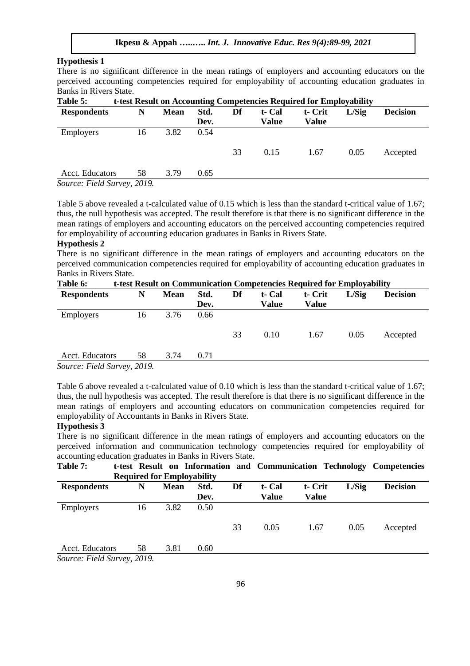# **Hypothesis 1**

There is no significant difference in the mean ratings of employers and accounting educators on the perceived accounting competencies required for employability of accounting education graduates in Banks in Rivers State.<br>Table 5: t-test

| ravit J.                    | t-iest result on Accounting Competencies required for Employability |             |      |    |        |         |       |                 |  |  |
|-----------------------------|---------------------------------------------------------------------|-------------|------|----|--------|---------|-------|-----------------|--|--|
| <b>Respondents</b>          | N                                                                   | <b>Mean</b> | Std. | Df | t- Cal | t- Crit | L/Sig | <b>Decision</b> |  |  |
|                             |                                                                     |             | Dev. |    | Value  | Value   |       |                 |  |  |
| <b>Employers</b>            | 16                                                                  | 3.82        | 0.54 |    |        |         |       |                 |  |  |
|                             |                                                                     |             |      | 33 | 0.15   | 1.67    | 0.05  | Accepted        |  |  |
| Acct. Educators             | 58                                                                  | 3.79        | 0.65 |    |        |         |       |                 |  |  |
| Source: Field Survey, 2019. |                                                                     |             |      |    |        |         |       |                 |  |  |

**Table 5: t-test Result on Accounting Competencies Required for Employability**

Table 5 above revealed a t-calculated value of 0.15 which is less than the standard t-critical value of 1.67; thus, the null hypothesis was accepted. The result therefore is that there is no significant difference in the mean ratings of employers and accounting educators on the perceived accounting competencies required for employability of accounting education graduates in Banks in Rivers State.

#### **Hypothesis 2**

There is no significant difference in the mean ratings of employers and accounting educators on the perceived communication competencies required for employability of accounting education graduates in Banks in Rivers State.

| Table 6:                    | t-test Result on Communication Competencies Required for Employability |             |      |    |        |         |       |                 |  |  |
|-----------------------------|------------------------------------------------------------------------|-------------|------|----|--------|---------|-------|-----------------|--|--|
| <b>Respondents</b>          | N                                                                      | <b>Mean</b> | Std. | Df | t- Cal | t- Crit | L/Sig | <b>Decision</b> |  |  |
|                             |                                                                        |             | Dev. |    | Value  | Value   |       |                 |  |  |
| <b>Employers</b>            | 16                                                                     | 3.76        | 0.66 |    |        |         |       |                 |  |  |
|                             |                                                                        |             |      |    |        |         |       |                 |  |  |
|                             |                                                                        |             |      | 33 | 0.10   | 1.67    | 0.05  | Accepted        |  |  |
|                             |                                                                        |             |      |    |        |         |       |                 |  |  |
| Acct. Educators             | 58                                                                     | 3.74        | 0.71 |    |        |         |       |                 |  |  |
| Source: Field Survey, 2019. |                                                                        |             |      |    |        |         |       |                 |  |  |

Table 6 above revealed a t-calculated value of 0.10 which is less than the standard t-critical value of 1.67; thus, the null hypothesis was accepted. The result therefore is that there is no significant difference in the mean ratings of employers and accounting educators on communication competencies required for employability of Accountants in Banks in Rivers State.

#### **Hypothesis 3**

There is no significant difference in the mean ratings of employers and accounting educators on the perceived information and communication technology competencies required for employability of accounting education graduates in Banks in Rivers State.

| Table 7:                    |    |             |                                   |    |        |              |       | t-test Result on Information and Communication Technology Competencies |
|-----------------------------|----|-------------|-----------------------------------|----|--------|--------------|-------|------------------------------------------------------------------------|
|                             |    |             | <b>Required for Employability</b> |    |        |              |       |                                                                        |
| <b>Respondents</b>          | N  | <b>Mean</b> | Std.                              | Df | t- Cal | t- Crit      | L/Sig | <b>Decision</b>                                                        |
|                             |    |             | Dev.                              |    | Value  | <b>Value</b> |       |                                                                        |
| <b>Employers</b>            | 16 | 3.82        | 0.50                              |    |        |              |       |                                                                        |
|                             |    |             |                                   |    |        |              |       |                                                                        |
|                             |    |             |                                   | 33 | 0.05   | 1.67         | 0.05  | Accepted                                                               |
|                             |    |             |                                   |    |        |              |       |                                                                        |
| Acct. Educators             | 58 | 3.81        | 0.60                              |    |        |              |       |                                                                        |
| Source: Field Survey, 2019. |    |             |                                   |    |        |              |       |                                                                        |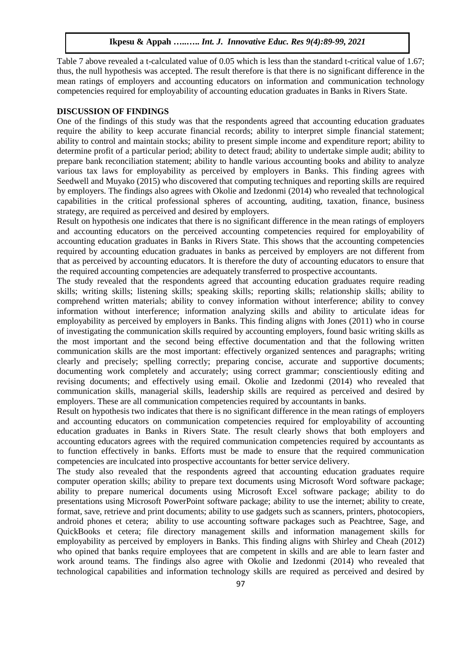Table 7 above revealed a t-calculated value of 0.05 which is less than the standard t-critical value of 1.67; thus, the null hypothesis was accepted. The result therefore is that there is no significant difference in the mean ratings of employers and accounting educators on information and communication technology competencies required for employability of accounting education graduates in Banks in Rivers State.

### **DISCUSSION OF FINDINGS**

One of the findings of this study was that the respondents agreed that accounting education graduates require the ability to keep accurate financial records; ability to interpret simple financial statement; ability to control and maintain stocks; ability to present simple income and expenditure report; ability to determine profit of a particular period; ability to detect fraud; ability to undertake simple audit; ability to prepare bank reconciliation statement; ability to handle various accounting books and ability to analyze various tax laws for employability as perceived by employers in Banks. This finding agrees with Seedwell and Muyako (2015) who discovered that computing techniques and reporting skills are required by employers. The findings also agrees with Okolie and Izedonmi (2014) who revealed that technological capabilities in the critical professional spheres of accounting, auditing, taxation, finance, business strategy, are required as perceived and desired by employers.

Result on hypothesis one indicates that there is no significant difference in the mean ratings of employers and accounting educators on the perceived accounting competencies required for employability of accounting education graduates in Banks in Rivers State. This shows that the accounting competencies required by accounting education graduates in banks as perceived by employers are not different from that as perceived by accounting educators. It is therefore the duty of accounting educators to ensure that the required accounting competencies are adequately transferred to prospective accountants.

The study revealed that the respondents agreed that accounting education graduates require reading skills; writing skills; listening skills; speaking skills; reporting skills; relationship skills; ability to comprehend written materials; ability to convey information without interference; ability to convey information without interference; information analyzing skills and ability to articulate ideas for employability as perceived by employers in Banks. This finding aligns with Jones (2011) who in course of investigating the communication skills required by accounting employers, found basic writing skills as the most important and the second being effective documentation and that the following written communication skills are the most important: effectively organized sentences and paragraphs; writing clearly and precisely; spelling correctly; preparing concise, accurate and supportive documents; documenting work completely and accurately; using correct grammar; conscientiously editing and revising documents; and effectively using email. Okolie and Izedonmi (2014) who revealed that communication skills, managerial skills, leadership skills are required as perceived and desired by employers. These are all communication competencies required by accountants in banks.

Result on hypothesis two indicates that there is no significant difference in the mean ratings of employers and accounting educators on communication competencies required for employability of accounting education graduates in Banks in Rivers State. The result clearly shows that both employers and accounting educators agrees with the required communication competencies required by accountants as to function effectively in banks. Efforts must be made to ensure that the required communication competencies are inculcated into prospective accountants for better service delivery.

The study also revealed that the respondents agreed that accounting education graduates require computer operation skills; ability to prepare text documents using Microsoft Word software package; ability to prepare numerical documents using Microsoft Excel software package; ability to do presentations using Microsoft PowerPoint software package; ability to use the internet; ability to create, format, save, retrieve and print documents; ability to use gadgets such as scanners, printers, photocopiers, android phones et cetera; ability to use accounting software packages such as Peachtree, Sage, and QuickBooks et cetera; file directory management skills and information management skills for employability as perceived by employers in Banks. This finding aligns with Shirley and Cheah (2012) who opined that banks require employees that are competent in skills and are able to learn faster and work around teams. The findings also agree with Okolie and Izedonmi (2014) who revealed that technological capabilities and information technology skills are required as perceived and desired by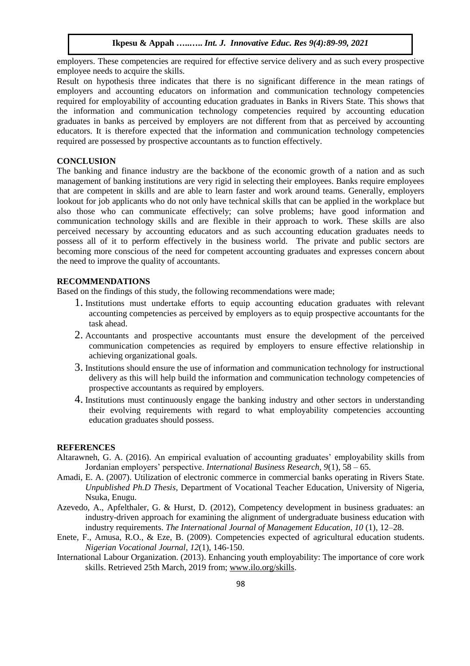employers. These competencies are required for effective service delivery and as such every prospective employee needs to acquire the skills.

Result on hypothesis three indicates that there is no significant difference in the mean ratings of employers and accounting educators on information and communication technology competencies required for employability of accounting education graduates in Banks in Rivers State. This shows that the information and communication technology competencies required by accounting education graduates in banks as perceived by employers are not different from that as perceived by accounting educators. It is therefore expected that the information and communication technology competencies required are possessed by prospective accountants as to function effectively.

# **CONCLUSION**

The banking and finance industry are the backbone of the economic growth of a nation and as such management of banking institutions are very rigid in selecting their employees. Banks require employees that are competent in skills and are able to learn faster and work around teams. Generally, employers lookout for job applicants who do not only have technical skills that can be applied in the workplace but also those who can communicate effectively; can solve problems; have good information and communication technology skills and are flexible in their approach to work. These skills are also perceived necessary by accounting educators and as such accounting education graduates needs to possess all of it to perform effectively in the business world. The private and public sectors are becoming more conscious of the need for competent accounting graduates and expresses concern about the need to improve the quality of accountants.

# **RECOMMENDATIONS**

Based on the findings of this study, the following recommendations were made;

- 1. Institutions must undertake efforts to equip accounting education graduates with relevant accounting competencies as perceived by employers as to equip prospective accountants for the task ahead.
- 2. Accountants and prospective accountants must ensure the development of the perceived communication competencies as required by employers to ensure effective relationship in achieving organizational goals.
- 3. Institutions should ensure the use of information and communication technology for instructional delivery as this will help build the information and communication technology competencies of prospective accountants as required by employers.
- 4. Institutions must continuously engage the banking industry and other sectors in understanding their evolving requirements with regard to what employability competencies accounting education graduates should possess.

## **REFERENCES**

- Altarawneh, G. A. (2016). An empirical evaluation of accounting graduates' employability skills from Jordanian employers' perspective. *International Business Research, 9*(1), 58 – 65.
- Amadi, E. A. (2007). Utilization of electronic commerce in commercial banks operating in Rivers State. *Unpublished Ph.D Thesis*, Department of Vocational Teacher Education, University of Nigeria, Nsuka, Enugu.
- Azevedo, A., Apfelthaler, G. & Hurst, D. (2012), Competency development in business graduates: an industry-driven approach for examining the alignment of undergraduate business education with industry requirements. *The International Journal of Management Education, 10* (1), 12–28.
- Enete, F., Amusa, R.O., & Eze, B. (2009). Competencies expected of agricultural education students. *Nigerian Vocational Journal*, *12*(1), 146-150.
- International Labour Organization. (2013). Enhancing youth employability: The importance of core work skills. Retrieved 25th March, 2019 from; [www.ilo.org/skills.](http://www.ilo.org/skills)